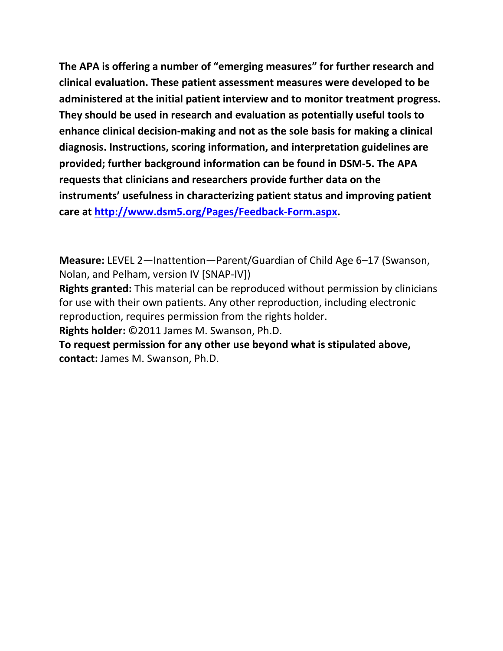**The APA is offering a number of "emerging measures" for further research and clinical evaluation. These patient assessment measures were developed to be administered at the initial patient interview and to monitor treatment progress. They should be used in research and evaluation as potentially useful tools to enhance clinical decision-making and not as the sole basis for making a clinical diagnosis. Instructions, scoring information, and interpretation guidelines are provided; further background information can be found in DSM-5. The APA requests that clinicians and researchers provide further data on the instruments' usefulness in characterizing patient status and improving patient care at [http://www.dsm5.org/Pages/Feedback-Form.aspx.](http://www.dsm5.org/Pages/Feedback-Form.aspx)**

**Measure:** LEVEL 2—Inattention—Parent/Guardian of Child Age 6–17 (Swanson, Nolan, and Pelham, version IV [SNAP-IV])

**Rights granted:** This material can be reproduced without permission by clinicians for use with their own patients. Any other reproduction, including electronic reproduction, requires permission from the rights holder.

**Rights holder:** ©2011 James M. Swanson, Ph.D.

**To request permission for any other use beyond what is stipulated above, contact:** James M. Swanson, Ph.D.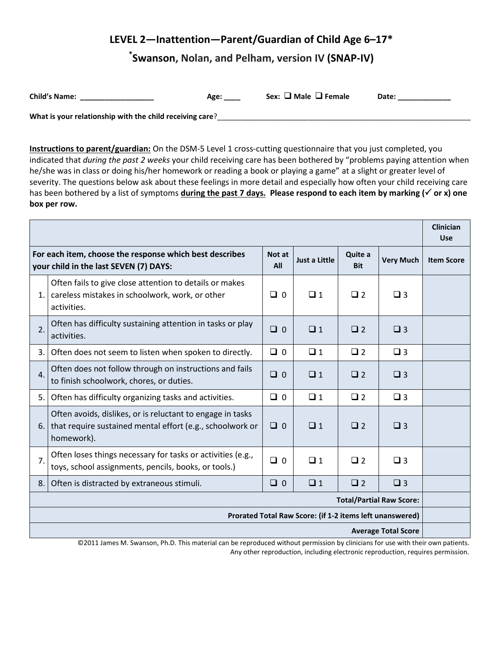# **LEVEL 2—Inattention—Parent/Guardian of Child Age 6–17\***

# **\* Swanson, Nolan, and Pelham, version IV (SNAP-IV)**

| <b>Child's Name:</b>                                     | Age: | Sex: $\Box$ Male $\Box$ Female | Date: |  |  |  |  |
|----------------------------------------------------------|------|--------------------------------|-------|--|--|--|--|
| What is your relationship with the child receiving care? |      |                                |       |  |  |  |  |

**Instructions to parent/guardian:** On the DSM-5 Level 1 cross-cutting questionnaire that you just completed, you indicated that *during the past 2 weeks* your child receiving care has been bothered by "problems paying attention when he/she was in class or doing his/her homework or reading a book or playing a game" at a slight or greater level of severity. The questions below ask about these feelings in more detail and especially how often your child receiving care has been bothered by a list of symptoms **during the past 7 days. Please respond to each item by marking ( or x) one box per row.** 

|                                                                                                                                                               |                                                                                                                                       |               |                      |                       |                  | <b>Clinician</b><br><b>Use</b> |
|---------------------------------------------------------------------------------------------------------------------------------------------------------------|---------------------------------------------------------------------------------------------------------------------------------------|---------------|----------------------|-----------------------|------------------|--------------------------------|
| For each item, choose the response which best describes<br>your child in the last SEVEN (7) DAYS:                                                             |                                                                                                                                       | Not at<br>All | <b>Just a Little</b> | Quite a<br><b>Bit</b> | <b>Very Much</b> | <b>Item Score</b>              |
| 1.                                                                                                                                                            | Often fails to give close attention to details or makes<br>careless mistakes in schoolwork, work, or other<br>activities.             | $\Box$ 0      | $\Box$ 1             | $\Box$ 2              | $\Box$ 3         |                                |
| 2.                                                                                                                                                            | Often has difficulty sustaining attention in tasks or play<br>activities.                                                             | $\Box$ 0      | $\Box$ 1             | $\square$ 2           | $\Box$ 3         |                                |
| 3.                                                                                                                                                            | Often does not seem to listen when spoken to directly.                                                                                | $\Box$ 0      | $\Box$ 1             | $\square$ 2           | $\Box$ 3         |                                |
| $\mathbf{4}$ .                                                                                                                                                | Often does not follow through on instructions and fails<br>to finish schoolwork, chores, or duties.                                   | $\Box$ 0      | $\Box$ 1             | $\Box$ 2              | $\Box$ 3         |                                |
| 5.                                                                                                                                                            | Often has difficulty organizing tasks and activities.                                                                                 | $\Box$ 0      | $\Box$ 1             | $\square$ 2           | $\Box$ 3         |                                |
| 6.                                                                                                                                                            | Often avoids, dislikes, or is reluctant to engage in tasks<br>that require sustained mental effort (e.g., schoolwork or<br>homework). | $\Box$ 0      | $\Box$ 1             | $\Box$ 2              | $\Box$ 3         |                                |
| 7.                                                                                                                                                            | Often loses things necessary for tasks or activities (e.g.,<br>toys, school assignments, pencils, books, or tools.)                   | $\Box$ 0      | $\Box$ 1             | $\square$ 2           | $\Box$ 3         |                                |
| 8.                                                                                                                                                            | Often is distracted by extraneous stimuli.                                                                                            | $\Box$ 0      | $\Box$ 1             | $\square$ 2           | $\Box$ 3         |                                |
| <b>Total/Partial Raw Score:</b>                                                                                                                               |                                                                                                                                       |               |                      |                       |                  |                                |
| Prorated Total Raw Score: (if 1-2 items left unanswered)                                                                                                      |                                                                                                                                       |               |                      |                       |                  |                                |
| <b>Average Total Score</b><br>©2011 James M. Swanson, Ph.D. This material can be reproduced without permission by clinicians for use with their own patients. |                                                                                                                                       |               |                      |                       |                  |                                |

©2011 James M. Swanson, Ph.D. This material can be reproduced without permission by clinicians for use with their own patients. Any other reproduction, including electronic reproduction, requires permission.